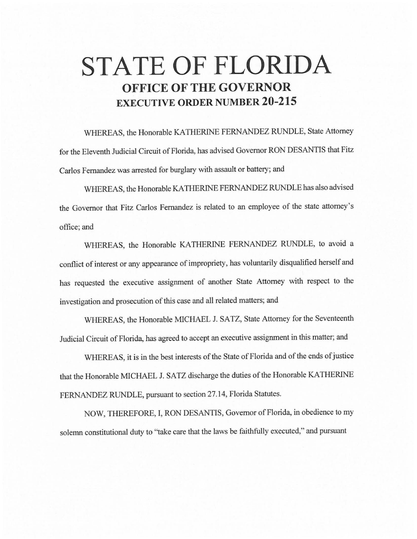# **STATE OF FLORIDA OFFICE OF THE GOVERNOR EXECUTIVE ORDER NUMBER 20-215**

WHEREAS, the Honorable KA THERINE FERNANDEZ RUNDLE, State Attorney for the Eleventh Judicial Circuit of Florida, has advised Governor RON DESANTIS that Fitz Carlos Fernandez was arrested for burglary with assault or battery; and

WHEREAS, the Honorable KA THERINE FERNANDEZ RUNDLE has also advised the Governor that Fitz Carlos Fernandez is related to an employee of the state attorney's office;and

WHEREAS, the Honorable KATHERINE FERNANDEZ RUNDLE, to avoid a conflict of interest or any appearance of impropriety, has voluntarily disqualified herself and has requested the executive assignment of another State Attorney with respect to the investigation and prosecution of this case and all related matters; and

WHEREAS, the Honorable MICHAEL J. SATZ, State Attorney for the Seventeenth Judicial Circuit of Florida, has agreed to accept an executive assignment in this matter; and

WHEREAS, it is in the best interests of the State of Florida and of the ends of justice that the Honorable MICHAEL J. SATZ discharge the duties of the Honorable KATHERINE FERNANDEZ RUNDLE, pursuant to section 27.14, Florida Statutes.

NOW, THEREFORE, I, RON DESANTIS, Governor of Florida, in obedience to my solemn constitutional duty to "take care that the laws be faithfully executed," and pursuant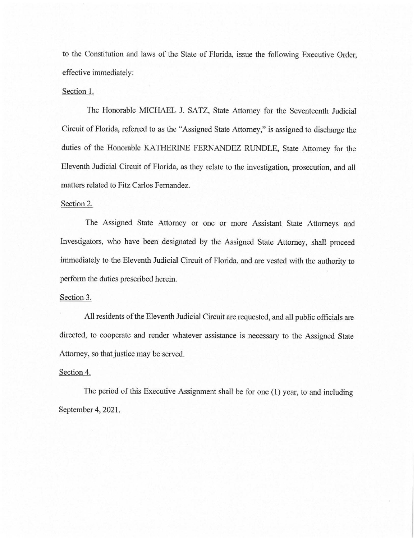to the Constitution and laws of the State of Florida, issue the following Executive Order, effective immediately:

### Section 1.

The Honorable MICHAEL J. SATZ, State Attorney for the Seventeenth Judicial Circuit of Florida, referred to as the "Assigned State Attorney," is assigned to discharge the duties of the Honorable KATHERINE FERNANDEZ RUNDLE, State Attorney for the Eleventh Judicial Circuit of Florida, as they relate to the investigation, prosecution, and all matters related to Fitz Carlos Fernandez.

## Section 2.

The Assigned State Attorney or one or more Assistant State Attorneys and Investigators, who have been designated by the Assigned State Attorney, shall proceed immediately to the Eleventh Judicial Circuit of Florida, and are vested with the authority to perform the duties prescribed herein.

### Section 3.

All residents of the Eleventh Judicial Circuit are requested, and all public officials are directed, to cooperate and render whatever assistance is necessary to the Assigned State Attorney, so that justice may be served.

## Section 4.

The period of this Executive Assignment shall be for one (1) year, to and including September 4, 2021.